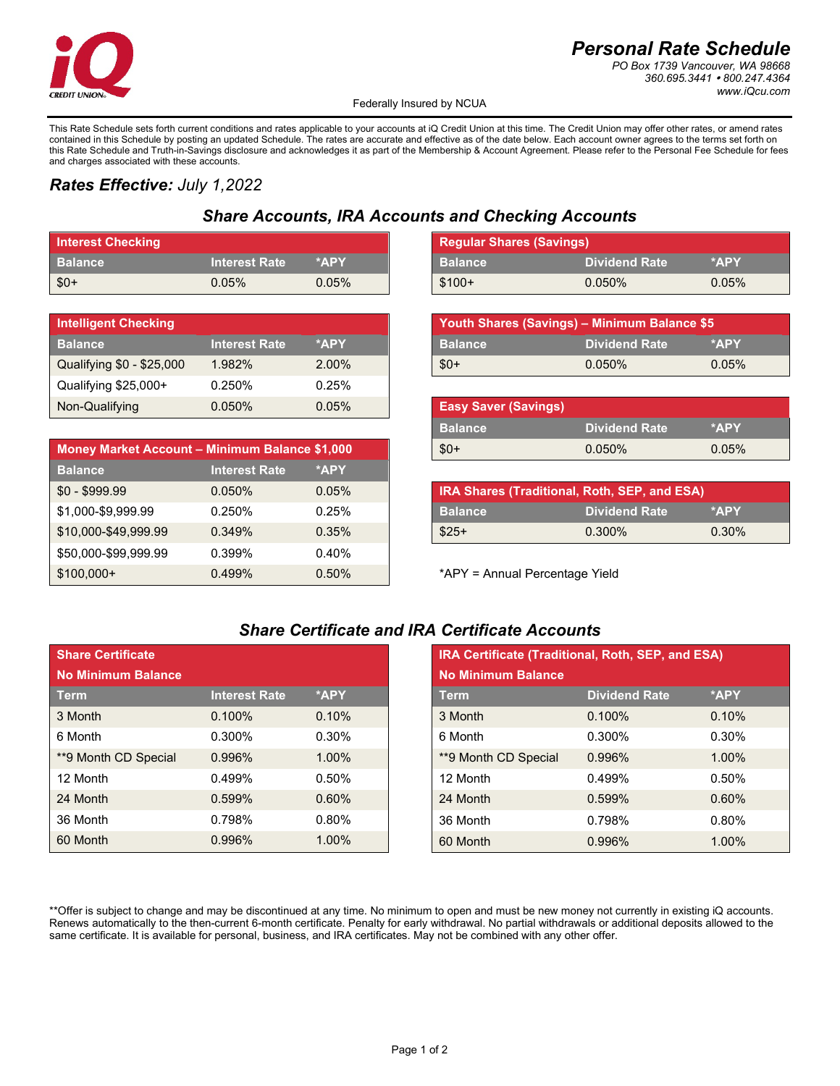

# *Personal Rate Schedule*

*PO Box 1739 Vancouver, WA 98668 360.695.3441 800.247.4364 www.iQcu.com*

Federally Insured by NCUA

This Rate Schedule sets forth current conditions and rates applicable to your accounts at iQ Credit Union at this time. The Credit Union may offer other rates, or amend rates contained in this Schedule by posting an updated Schedule. The rates are accurate and effective as of the date below. Each account owner agrees to the terms set forth on this Rate Schedule and Truth-in-Savings disclosure and acknowledges it as part of the Membership & Account Agreement. Please refer to the Personal Fee Schedule for fees and charges associated with these accounts.

## *Rates Effective: July 1,2022*

# *Share Accounts, IRA Accounts and Checking Accounts*

| <b>Interest Checking</b> |                      |       | <b>Regular Shares (Savings)</b> |                      |       |
|--------------------------|----------------------|-------|---------------------------------|----------------------|-------|
| <b>Balance</b>           | <b>Interest Rate</b> | *APY  | <b>∣ Balance</b>                | <b>Dividend Rate</b> | *APY  |
| $$0+$                    | $0.05\%$             | 0.05% | $$100+$                         | 0.050%               | 0.05% |

| <b>Intelligent Checking</b> |                      |       |
|-----------------------------|----------------------|-------|
| <b>Balance</b>              | <b>Interest Rate</b> | *APY  |
| Qualifying \$0 - \$25,000   | 1.982%               | 2.00% |
| Qualifying \$25,000+        | 0.250%               | 0.25% |
| Non-Qualifying              | $0.050\%$            | 0.05% |

| Money Market Account - Minimum Balance \$1,000 |                      |       |
|------------------------------------------------|----------------------|-------|
| <b>Balance</b>                                 | <b>Interest Rate</b> | *APY  |
| $$0 - $999.99$                                 | $0.050\%$            | 0.05% |
| \$1,000-\$9,999.99                             | 0.250%               | 0.25% |
| \$10,000-\$49,999.99                           | 0.349%               | 0.35% |
| \$50,000-\$99,999.99                           | 0.399%               | 0.40% |
| $$100,000+$                                    | 0.499%               | 0.50% |

| <b>Regular Shares (Savings)</b> |                      |       |
|---------------------------------|----------------------|-------|
| <b>Balance</b>                  | <b>Dividend Rate</b> | *APY  |
| $$100+$                         | $0.050\%$            | 0.05% |

| Youth Shares (Savings) - Minimum Balance \$5 |                      |       |
|----------------------------------------------|----------------------|-------|
| <b>Balance</b>                               | <b>Dividend Rate</b> | *APY  |
| $$0+$                                        | $0.050\%$            | 0.05% |

| <b>Easy Saver (Savings)</b> |                      |          |
|-----------------------------|----------------------|----------|
| <b>Balance</b>              | <b>Dividend Rate</b> | *APY     |
| - \$0+                      | $0.050\%$            | $0.05\%$ |

| IRA Shares (Traditional, Roth, SEP, and ESA) |                      |          |
|----------------------------------------------|----------------------|----------|
| <b>Balance</b>                               | <b>Dividend Rate</b> | *APY     |
| $$25+$                                       | $0.300\%$            | $0.30\%$ |

### *Share Certificate and IRA Certificate Accounts*

| <b>Share Certificate</b> |                      |          |
|--------------------------|----------------------|----------|
| No Minimum Balance       |                      |          |
| Term                     | <b>Interest Rate</b> | *APY     |
| 3 Month                  | $0.100\%$            | 0.10%    |
| 6 Month                  | $0.300\%$            | 0.30%    |
| **9 Month CD Special     | 0.996%               | $1.00\%$ |
| 12 Month                 | 0.499%               | 0.50%    |
| 24 Month                 | 0.599%               | 0.60%    |
| 36 Month                 | 0.798%               | 0.80%    |
| 60 Month                 | 0.996%               | 1.00%    |

| <b>Share Certificate</b>  |                      |       |
|---------------------------|----------------------|-------|
| <b>No Minimum Balance</b> |                      |       |
| <b>Term</b>               | <b>Interest Rate</b> | *APY  |
| 3 Month                   | 0.100%               | 0.10% |
| 6 Month                   | $0.300\%$            | 0.30% |
| **9 Month CD Special      | 0.996%               | 1.00% |
| 12 Month                  | 0.499%               | 0.50% |
| 24 Month                  | 0.599%               | 0.60% |
| 36 Month                  | 0.798%               | 0.80% |
| 60 Month                  | 0.996%               | 1.00% |

\*\*Offer is subject to change and may be discontinued at any time. No minimum to open and must be new money not currently in existing iQ accounts. Renews automatically to the then-current 6-month certificate. Penalty for early withdrawal. No partial withdrawals or additional deposits allowed to the same certificate. It is available for personal, business, and IRA certificates. May not be combined with any other offer.